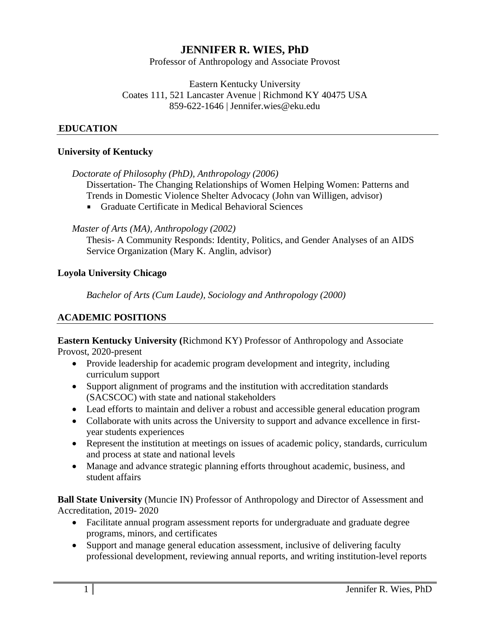# **JENNIFER R. WIES, PhD**

Professor of Anthropology and Associate Provost

#### Eastern Kentucky University Coates 111, 521 Lancaster Avenue | Richmond KY 40475 USA 859-622-1646 | Jennifer.wies@eku.edu

## 3B**EDUCATION**

### **University of Kentucky**

*Doctorate of Philosophy (PhD), Anthropology (2006)* 

Dissertation- The Changing Relationships of Women Helping Women: Patterns and Trends in Domestic Violence Shelter Advocacy (John van Willigen, advisor)

Graduate Certificate in Medical Behavioral Sciences

### *Master of Arts (MA), Anthropology (2002)*

Thesis- A Community Responds: Identity, Politics, and Gender Analyses of an AIDS Service Organization (Mary K. Anglin, advisor)

### **Loyola University Chicago**

*Bachelor of Arts (Cum Laude), Sociology and Anthropology (2000)* 

## **ACADEMIC POSITIONS**

**Eastern Kentucky University (**Richmond KY) Professor of Anthropology and Associate Provost, 2020-present

- Provide leadership for academic program development and integrity, including curriculum support
- Support alignment of programs and the institution with accreditation standards (SACSCOC) with state and national stakeholders
- Lead efforts to maintain and deliver a robust and accessible general education program
- Collaborate with units across the University to support and advance excellence in firstyear students experiences
- Represent the institution at meetings on issues of academic policy, standards, curriculum and process at state and national levels
- Manage and advance strategic planning efforts throughout academic, business, and student affairs

**Ball State University** (Muncie IN) Professor of Anthropology and Director of Assessment and Accreditation, 2019- 2020

- Facilitate annual program assessment reports for undergraduate and graduate degree programs, minors, and certificates
- Support and manage general education assessment, inclusive of delivering faculty professional development, reviewing annual reports, and writing institution-level reports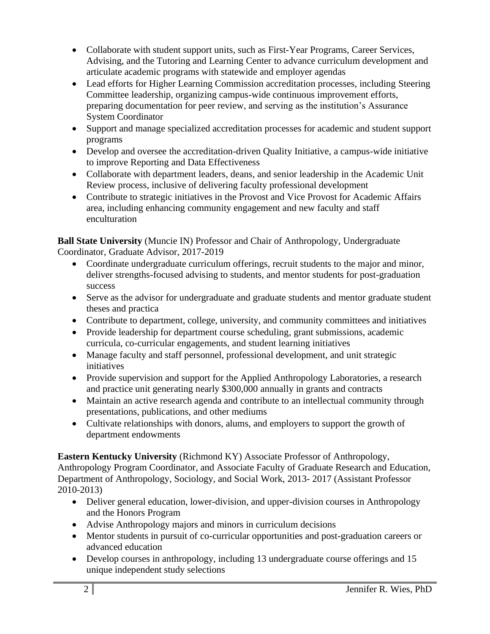- Collaborate with student support units, such as First-Year Programs, Career Services, Advising, and the Tutoring and Learning Center to advance curriculum development and articulate academic programs with statewide and employer agendas
- Lead efforts for Higher Learning Commission accreditation processes, including Steering Committee leadership, organizing campus-wide continuous improvement efforts, preparing documentation for peer review, and serving as the institution's Assurance System Coordinator
- Support and manage specialized accreditation processes for academic and student support programs
- Develop and oversee the accreditation-driven Quality Initiative, a campus-wide initiative to improve Reporting and Data Effectiveness
- Collaborate with department leaders, deans, and senior leadership in the Academic Unit Review process, inclusive of delivering faculty professional development
- Contribute to strategic initiatives in the Provost and Vice Provost for Academic Affairs area, including enhancing community engagement and new faculty and staff enculturation

**Ball State University** (Muncie IN) Professor and Chair of Anthropology, Undergraduate Coordinator, Graduate Advisor, 2017-2019

- Coordinate undergraduate curriculum offerings, recruit students to the major and minor, deliver strengths-focused advising to students, and mentor students for post-graduation success
- Serve as the advisor for undergraduate and graduate students and mentor graduate student theses and practica
- Contribute to department, college, university, and community committees and initiatives
- Provide leadership for department course scheduling, grant submissions, academic curricula, co-curricular engagements, and student learning initiatives
- Manage faculty and staff personnel, professional development, and unit strategic initiatives
- Provide supervision and support for the Applied Anthropology Laboratories, a research and practice unit generating nearly \$300,000 annually in grants and contracts
- Maintain an active research agenda and contribute to an intellectual community through presentations, publications, and other mediums
- Cultivate relationships with donors, alums, and employers to support the growth of department endowments

**Eastern Kentucky University** (Richmond KY) Associate Professor of Anthropology, Anthropology Program Coordinator, and Associate Faculty of Graduate Research and Education, Department of Anthropology, Sociology, and Social Work, 2013- 2017 (Assistant Professor 2010-2013)

- Deliver general education, lower-division, and upper-division courses in Anthropology and the Honors Program
- Advise Anthropology majors and minors in curriculum decisions
- Mentor students in pursuit of co-curricular opportunities and post-graduation careers or advanced education
- Develop courses in anthropology, including 13 undergraduate course offerings and 15 unique independent study selections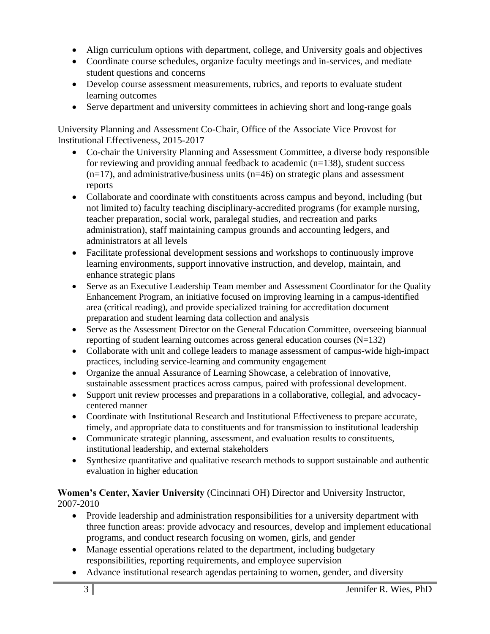- Align curriculum options with department, college, and University goals and objectives
- Coordinate course schedules, organize faculty meetings and in-services, and mediate student questions and concerns
- Develop course assessment measurements, rubrics, and reports to evaluate student learning outcomes
- Serve department and university committees in achieving short and long-range goals

University Planning and Assessment Co-Chair, Office of the Associate Vice Provost for Institutional Effectiveness, 2015-2017

- Co-chair the University Planning and Assessment Committee, a diverse body responsible for reviewing and providing annual feedback to academic  $(n=138)$ , student success  $(n=17)$ , and administrative/business units  $(n=46)$  on strategic plans and assessment reports
- Collaborate and coordinate with constituents across campus and beyond, including (but not limited to) faculty teaching disciplinary-accredited programs (for example nursing, teacher preparation, social work, paralegal studies, and recreation and parks administration), staff maintaining campus grounds and accounting ledgers, and administrators at all levels
- Facilitate professional development sessions and workshops to continuously improve learning environments, support innovative instruction, and develop, maintain, and enhance strategic plans
- Serve as an Executive Leadership Team member and Assessment Coordinator for the Quality Enhancement Program, an initiative focused on improving learning in a campus-identified area (critical reading), and provide specialized training for accreditation document preparation and student learning data collection and analysis
- Serve as the Assessment Director on the General Education Committee, overseeing biannual reporting of student learning outcomes across general education courses (N=132)
- Collaborate with unit and college leaders to manage assessment of campus-wide high-impact practices, including service-learning and community engagement
- Organize the annual Assurance of Learning Showcase, a celebration of innovative, sustainable assessment practices across campus, paired with professional development.
- Support unit review processes and preparations in a collaborative, collegial, and advocacycentered manner
- Coordinate with Institutional Research and Institutional Effectiveness to prepare accurate, timely, and appropriate data to constituents and for transmission to institutional leadership
- Communicate strategic planning, assessment, and evaluation results to constituents, institutional leadership, and external stakeholders
- Synthesize quantitative and qualitative research methods to support sustainable and authentic evaluation in higher education

## **Women's Center, Xavier University** (Cincinnati OH) Director and University Instructor, 2007-2010

- Provide leadership and administration responsibilities for a university department with three function areas: provide advocacy and resources, develop and implement educational programs, and conduct research focusing on women, girls, and gender
- Manage essential operations related to the department, including budgetary responsibilities, reporting requirements, and employee supervision
- Advance institutional research agendas pertaining to women, gender, and diversity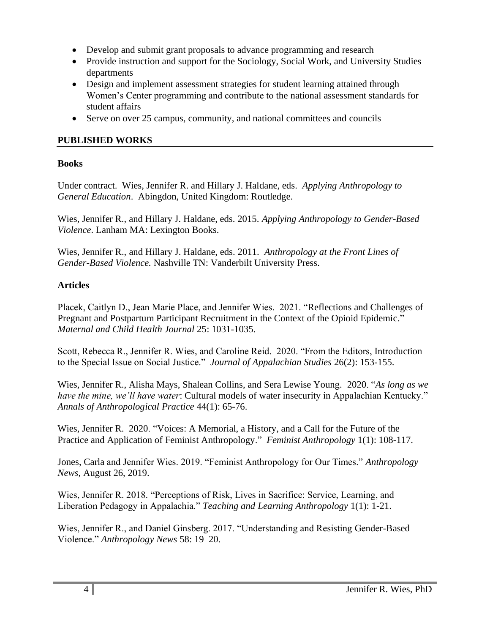- Develop and submit grant proposals to advance programming and research
- Provide instruction and support for the Sociology, Social Work, and University Studies departments
- Design and implement assessment strategies for student learning attained through Women's Center programming and contribute to the national assessment standards for student affairs
- Serve on over 25 campus, community, and national committees and councils

## **PUBLISHED WORKS**

## **Books**

Under contract. Wies, Jennifer R. and Hillary J. Haldane, eds. *Applying Anthropology to General Education*. Abingdon, United Kingdom: Routledge.

Wies, Jennifer R., and Hillary J. Haldane, eds. 2015. *Applying Anthropology to Gender-Based Violence*. Lanham MA: Lexington Books.

Wies, Jennifer R., and Hillary J. Haldane, eds. 2011. *Anthropology at the Front Lines of Gender-Based Violence.* Nashville TN: Vanderbilt University Press.

## **Articles**

Placek, Caitlyn D., Jean Marie Place, and Jennifer Wies. 2021. "Reflections and Challenges of Pregnant and Postpartum Participant Recruitment in the Context of the Opioid Epidemic." *Maternal and Child Health Journal* 25: 1031-1035.

Scott, Rebecca R., Jennifer R. Wies, and Caroline Reid. 2020. "From the Editors, Introduction to the Special Issue on Social Justice." *Journal of Appalachian Studies* 26(2): 153-155.

Wies, Jennifer R., Alisha Mays, Shalean Collins, and Sera Lewise Young. 2020. "*As long as we have the mine, we'll have water*: Cultural models of water insecurity in Appalachian Kentucky." *Annals of Anthropological Practice* 44(1): 65-76.

Wies, Jennifer R. 2020. "Voices: A Memorial, a History, and a Call for the Future of the Practice and Application of Feminist Anthropology." *Feminist Anthropology* 1(1): 108-117.

Jones, Carla and Jennifer Wies. 2019. "Feminist Anthropology for Our Times." *Anthropology News*, August 26, 2019.

Wies, Jennifer R. 2018. "Perceptions of Risk, Lives in Sacrifice: Service, Learning, and Liberation Pedagogy in Appalachia." *Teaching and Learning Anthropology* 1(1): 1-21.

Wies, Jennifer R., and Daniel Ginsberg. 2017. "Understanding and Resisting Gender-Based Violence." *Anthropology News* 58: 19–20.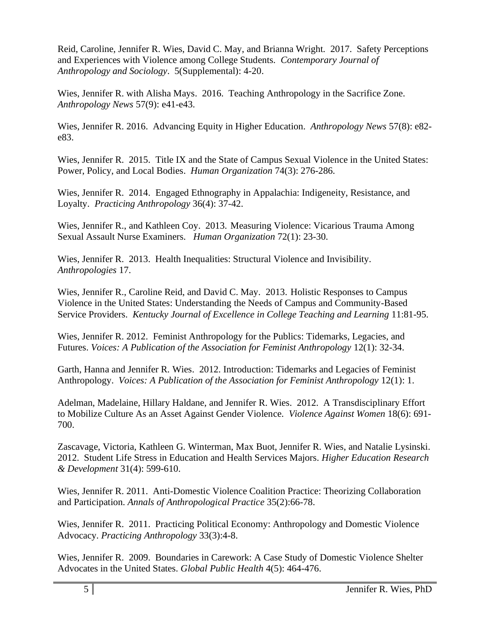Reid, Caroline, Jennifer R. Wies, David C. May, and Brianna Wright. 2017. Safety Perceptions and Experiences with Violence among College Students. *Contemporary Journal of Anthropology and Sociology*. 5(Supplemental): 4-20.

Wies, Jennifer R. with Alisha Mays. 2016. Teaching Anthropology in the Sacrifice Zone. *Anthropology News* 57(9): e41-e43.

Wies, Jennifer R. 2016. Advancing Equity in Higher Education. *Anthropology News* 57(8): e82 e83.

Wies, Jennifer R. 2015. Title IX and the State of Campus Sexual Violence in the United States: Power, Policy, and Local Bodies. *Human Organization* 74(3): 276-286.

Wies, Jennifer R. 2014. Engaged Ethnography in Appalachia: Indigeneity, Resistance, and Loyalty. *Practicing Anthropology* 36(4): 37-42.

Wies, Jennifer R., and Kathleen Coy. 2013. Measuring Violence: Vicarious Trauma Among Sexual Assault Nurse Examiners. *Human Organization* 72(1): 23-30.

Wies, Jennifer R. 2013. Health Inequalities: Structural Violence and Invisibility. *Anthropologies* 17.

Wies, Jennifer R., Caroline Reid, and David C. May. 2013. Holistic Responses to Campus Violence in the United States: Understanding the Needs of Campus and Community-Based Service Providers. *Kentucky Journal of Excellence in College Teaching and Learning* 11:81-95.

Wies, Jennifer R. 2012. Feminist Anthropology for the Publics: Tidemarks, Legacies, and Futures. *Voices: A Publication of the Association for Feminist Anthropology* 12(1): 32-34.

Garth, Hanna and Jennifer R. Wies. 2012. Introduction: Tidemarks and Legacies of Feminist Anthropology. *Voices: A Publication of the Association for Feminist Anthropology* 12(1): 1.

Adelman, Madelaine, Hillary Haldane, and Jennifer R. Wies. 2012. A Transdisciplinary Effort to Mobilize Culture As an Asset Against Gender Violence. *Violence Against Women* 18(6): 691- 700.

Zascavage, Victoria, Kathleen G. Winterman, Max Buot, Jennifer R. Wies, and Natalie Lysinski. 2012. Student Life Stress in Education and Health Services Majors. *Higher Education Research & Development* 31(4): 599-610.

Wies, Jennifer R. 2011. Anti-Domestic Violence Coalition Practice: Theorizing Collaboration and Participation. *Annals of Anthropological Practice* 35(2):66-78.

Wies, Jennifer R. 2011. Practicing Political Economy: Anthropology and Domestic Violence Advocacy. *Practicing Anthropology* 33(3):4-8.

Wies, Jennifer R. 2009. Boundaries in Carework: A Case Study of Domestic Violence Shelter Advocates in the United States. *Global Public Health* 4(5): 464-476.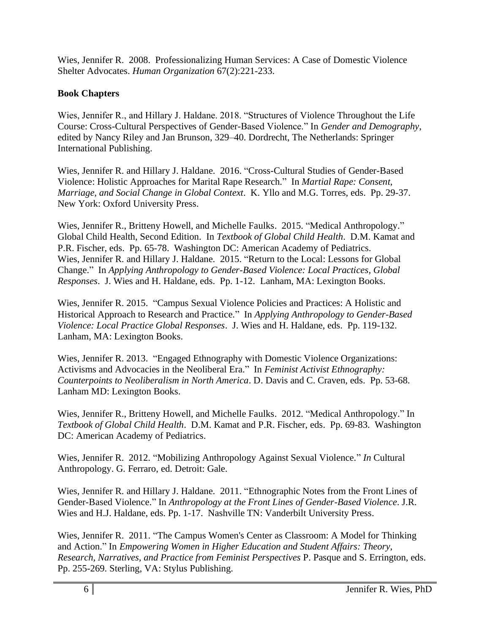Wies, Jennifer R. 2008. Professionalizing Human Services: A Case of Domestic Violence Shelter Advocates. *Human Organization* 67(2):221-233.

## **Book Chapters**

Wies, Jennifer R., and Hillary J. Haldane. 2018. "Structures of Violence Throughout the Life Course: Cross-Cultural Perspectives of Gender-Based Violence." In *Gender and Demography*, edited by Nancy Riley and Jan Brunson, 329–40. Dordrecht, The Netherlands: Springer International Publishing.

Wies, Jennifer R. and Hillary J. Haldane. 2016. "Cross-Cultural Studies of Gender-Based Violence: Holistic Approaches for Marital Rape Research." In *Martial Rape: Consent, Marriage, and Social Change in Global Context*. K. Yllo and M.G. Torres, eds. Pp. 29-37. New York: Oxford University Press.

Wies, Jennifer R., Britteny Howell, and Michelle Faulks. 2015. "Medical Anthropology." Global Child Health, Second Edition. In *Textbook of Global Child Health*. D.M. Kamat and P.R. Fischer, eds. Pp. 65-78. Washington DC: American Academy of Pediatrics. Wies, Jennifer R. and Hillary J. Haldane. 2015. "Return to the Local: Lessons for Global Change." In *Applying Anthropology to Gender-Based Violence: Local Practices, Global Responses*. J. Wies and H. Haldane, eds. Pp. 1-12. Lanham, MA: Lexington Books.

Wies, Jennifer R. 2015. "Campus Sexual Violence Policies and Practices: A Holistic and Historical Approach to Research and Practice." In *Applying Anthropology to Gender-Based Violence: Local Practice Global Responses*. J. Wies and H. Haldane, eds. Pp. 119-132. Lanham, MA: Lexington Books.

Wies, Jennifer R. 2013. "Engaged Ethnography with Domestic Violence Organizations: Activisms and Advocacies in the Neoliberal Era." In *Feminist Activist Ethnography: Counterpoints to Neoliberalism in North America*. D. Davis and C. Craven, eds. Pp. 53-68. Lanham MD: Lexington Books.

Wies, Jennifer R., Britteny Howell, and Michelle Faulks. 2012. "Medical Anthropology." In *Textbook of Global Child Health*. D.M. Kamat and P.R. Fischer, eds. Pp. 69-83. Washington DC: American Academy of Pediatrics.

Wies, Jennifer R. 2012. "Mobilizing Anthropology Against Sexual Violence." *In* Cultural Anthropology. G. Ferraro, ed. Detroit: Gale.

Wies, Jennifer R. and Hillary J. Haldane. 2011. "Ethnographic Notes from the Front Lines of Gender-Based Violence." In *Anthropology at the Front Lines of Gender-Based Violence*. J.R. Wies and H.J. Haldane, eds. Pp. 1-17. Nashville TN: Vanderbilt University Press.

Wies, Jennifer R. 2011. "The Campus Women's Center as Classroom: A Model for Thinking and Action." In *Empowering Women in Higher Education and Student Affairs: Theory, Research, Narratives, and Practice from Feminist Perspectives* P. Pasque and S. Errington, eds. Pp. 255-269. Sterling, VA: Stylus Publishing.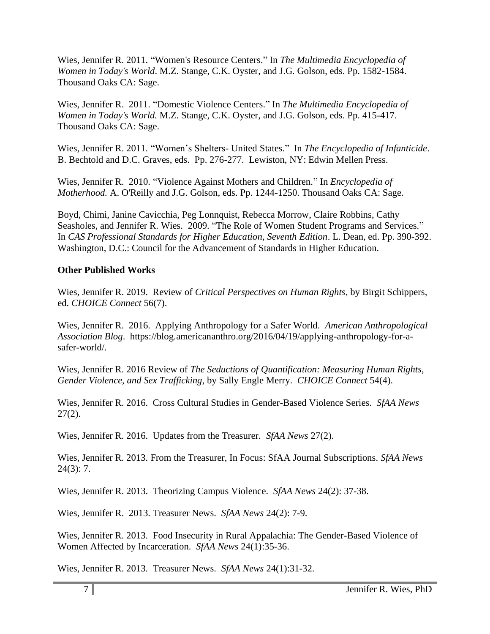Wies, Jennifer R. 2011. "Women's Resource Centers." In *The Multimedia Encyclopedia of Women in Today's World*. M.Z. Stange, C.K. Oyster, and J.G. Golson, eds. Pp. 1582-1584. Thousand Oaks CA: Sage.

Wies, Jennifer R. 2011. "Domestic Violence Centers." In *The Multimedia Encyclopedia of Women in Today's World.* M.Z. Stange, C.K. Oyster, and J.G. Golson, eds. Pp. 415-417. Thousand Oaks CA: Sage.

Wies, Jennifer R. 2011. "Women's Shelters- United States." In *The Encyclopedia of Infanticide*. B. Bechtold and D.C. Graves, eds. Pp. 276-277. Lewiston, NY: Edwin Mellen Press.

Wies, Jennifer R. 2010. "Violence Against Mothers and Children." In *Encyclopedia of Motherhood.* A. O'Reilly and J.G. Golson, eds. Pp. 1244-1250. Thousand Oaks CA: Sage.

Boyd, Chimi, Janine Cavicchia, Peg Lonnquist, Rebecca Morrow, Claire Robbins, Cathy Seasholes, and Jennifer R. Wies. 2009. "The Role of Women Student Programs and Services." In *CAS Professional Standards for Higher Education, Seventh Edition*. L. Dean, ed. Pp. 390-392. Washington, D.C.: Council for the Advancement of Standards in Higher Education.

### **Other Published Works**

Wies, Jennifer R. 2019. Review of *Critical Perspectives on Human Rights*, by Birgit Schippers, ed. *CHOICE Connect* 56(7).

Wies, Jennifer R. 2016. Applying Anthropology for a Safer World. *American Anthropological Association Blog*. https://blog.americananthro.org/2016/04/19/applying-anthropology-for-asafer-world/.

Wies, Jennifer R. 2016 Review of *The Seductions of Quantification: Measuring Human Rights, Gender Violence, and Sex Trafficking*, by Sally Engle Merry. *CHOICE Connect* 54(4).

Wies, Jennifer R. 2016. Cross Cultural Studies in Gender-Based Violence Series. *SfAA News*  $27(2)$ .

Wies, Jennifer R. 2016. Updates from the Treasurer. *SfAA News* 27(2).

Wies, Jennifer R. 2013. From the Treasurer, In Focus: SfAA Journal Subscriptions. *SfAA News*  24(3): 7.

Wies, Jennifer R. 2013. Theorizing Campus Violence. *SfAA News* 24(2): 37-38.

Wies, Jennifer R. 2013. Treasurer News. *SfAA News* 24(2): 7-9.

Wies, Jennifer R. 2013. Food Insecurity in Rural Appalachia: The Gender-Based Violence of Women Affected by Incarceration. *SfAA News* 24(1):35-36.

Wies, Jennifer R. 2013. Treasurer News. *SfAA News* 24(1):31-32.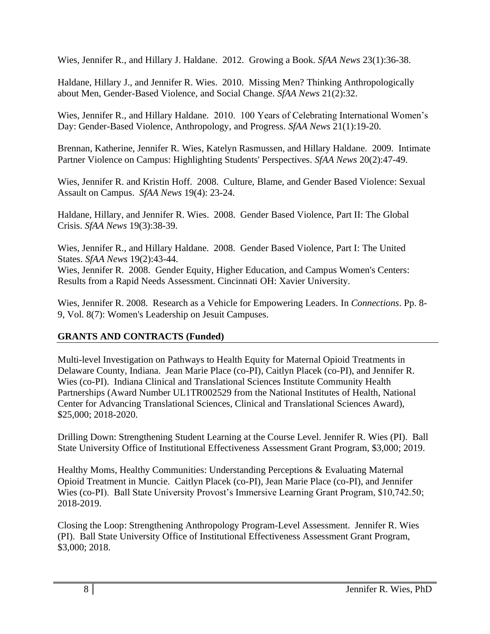Wies, Jennifer R., and Hillary J. Haldane. 2012. Growing a Book. *SfAA News* 23(1):36-38.

Haldane, Hillary J., and Jennifer R. Wies. 2010. Missing Men? Thinking Anthropologically about Men, Gender-Based Violence, and Social Change. *SfAA News* 21(2):32.

Wies, Jennifer R., and Hillary Haldane. 2010. 100 Years of Celebrating International Women's Day: Gender-Based Violence, Anthropology, and Progress. *SfAA News* 21(1):19-20.

Brennan, Katherine, Jennifer R. Wies, Katelyn Rasmussen, and Hillary Haldane. 2009. Intimate Partner Violence on Campus: Highlighting Students' Perspectives. *SfAA News* 20(2):47-49.

Wies, Jennifer R. and Kristin Hoff. 2008. Culture, Blame, and Gender Based Violence: Sexual Assault on Campus. *SfAA News* 19(4): 23-24.

Haldane, Hillary, and Jennifer R. Wies. 2008. Gender Based Violence, Part II: The Global Crisis. *SfAA News* 19(3):38-39.

Wies, Jennifer R., and Hillary Haldane. 2008. Gender Based Violence, Part I: The United States. *SfAA News* 19(2):43-44. Wies, Jennifer R. 2008. Gender Equity, Higher Education, and Campus Women's Centers: Results from a Rapid Needs Assessment. Cincinnati OH: Xavier University.

Wies, Jennifer R. 2008. Research as a Vehicle for Empowering Leaders. In *Connections*. Pp. 8- 9, Vol. 8(7): Women's Leadership on Jesuit Campuses.

## **GRANTS AND CONTRACTS (Funded)**

Multi-level Investigation on Pathways to Health Equity for Maternal Opioid Treatments in Delaware County, Indiana. Jean Marie Place (co-PI), Caitlyn Placek (co-PI), and Jennifer R. Wies (co-PI). Indiana Clinical and Translational Sciences Institute Community Health Partnerships (Award Number UL1TR002529 from the National Institutes of Health, National Center for Advancing Translational Sciences, Clinical and Translational Sciences Award), \$25,000; 2018-2020.

Drilling Down: Strengthening Student Learning at the Course Level. Jennifer R. Wies (PI). Ball State University Office of Institutional Effectiveness Assessment Grant Program, \$3,000; 2019.

Healthy Moms, Healthy Communities: Understanding Perceptions & Evaluating Maternal Opioid Treatment in Muncie. Caitlyn Placek (co-PI), Jean Marie Place (co-PI), and Jennifer Wies (co-PI). Ball State University Provost's Immersive Learning Grant Program, \$10,742.50; 2018-2019.

Closing the Loop: Strengthening Anthropology Program-Level Assessment. Jennifer R. Wies (PI). Ball State University Office of Institutional Effectiveness Assessment Grant Program, \$3,000; 2018.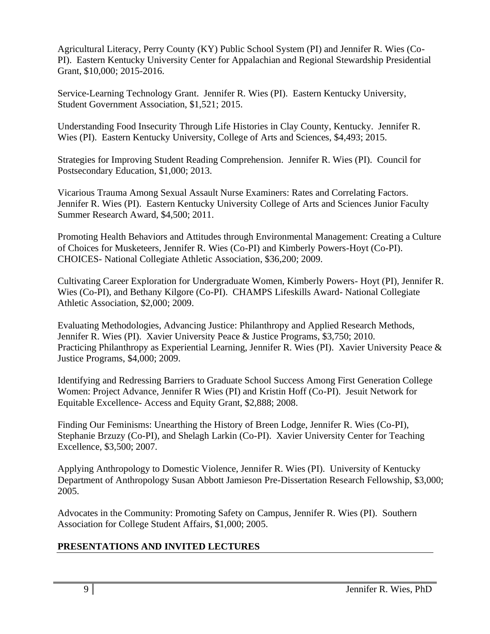Agricultural Literacy, Perry County (KY) Public School System (PI) and Jennifer R. Wies (Co-PI). Eastern Kentucky University Center for Appalachian and Regional Stewardship Presidential Grant, \$10,000; 2015-2016.

Service-Learning Technology Grant. Jennifer R. Wies (PI). Eastern Kentucky University, Student Government Association, \$1,521; 2015.

Understanding Food Insecurity Through Life Histories in Clay County, Kentucky. Jennifer R. Wies (PI). Eastern Kentucky University, College of Arts and Sciences, \$4,493; 2015.

Strategies for Improving Student Reading Comprehension. Jennifer R. Wies (PI). Council for Postsecondary Education, \$1,000; 2013.

Vicarious Trauma Among Sexual Assault Nurse Examiners: Rates and Correlating Factors. Jennifer R. Wies (PI). Eastern Kentucky University College of Arts and Sciences Junior Faculty Summer Research Award, \$4,500; 2011.

Promoting Health Behaviors and Attitudes through Environmental Management: Creating a Culture of Choices for Musketeers, Jennifer R. Wies (Co-PI) and Kimberly Powers-Hoyt (Co-PI). CHOICES- National Collegiate Athletic Association, \$36,200; 2009.

Cultivating Career Exploration for Undergraduate Women, Kimberly Powers- Hoyt (PI), Jennifer R. Wies (Co-PI), and Bethany Kilgore (Co-PI). CHAMPS Lifeskills Award- National Collegiate Athletic Association, \$2,000; 2009.

Evaluating Methodologies, Advancing Justice: Philanthropy and Applied Research Methods, Jennifer R. Wies (PI). Xavier University Peace & Justice Programs, \$3,750; 2010. Practicing Philanthropy as Experiential Learning, Jennifer R. Wies (PI). Xavier University Peace & Justice Programs, \$4,000; 2009.

Identifying and Redressing Barriers to Graduate School Success Among First Generation College Women: Project Advance, Jennifer R Wies (PI) and Kristin Hoff (Co-PI). Jesuit Network for Equitable Excellence- Access and Equity Grant, \$2,888; 2008.

Finding Our Feminisms: Unearthing the History of Breen Lodge, Jennifer R. Wies (Co-PI), Stephanie Brzuzy (Co-PI), and Shelagh Larkin (Co-PI). Xavier University Center for Teaching Excellence, \$3,500; 2007.

Applying Anthropology to Domestic Violence, Jennifer R. Wies (PI). University of Kentucky Department of Anthropology Susan Abbott Jamieson Pre-Dissertation Research Fellowship, \$3,000; 2005.

Advocates in the Community: Promoting Safety on Campus, Jennifer R. Wies (PI). Southern Association for College Student Affairs, \$1,000; 2005.

# **PRESENTATIONS AND INVITED LECTURES**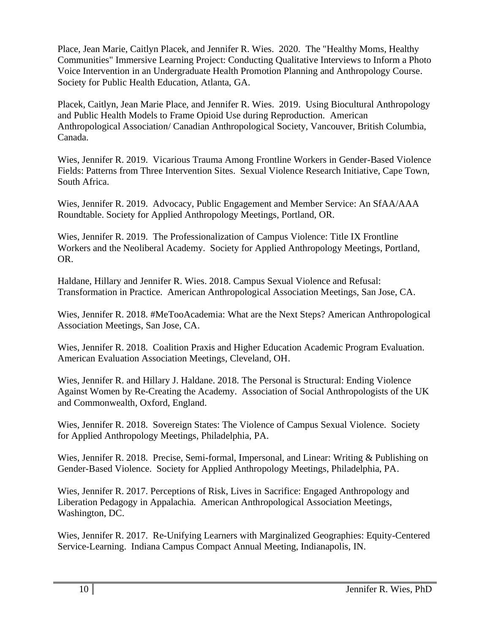Place, Jean Marie, Caitlyn Placek, and Jennifer R. Wies. 2020. The "Healthy Moms, Healthy Communities" Immersive Learning Project: Conducting Qualitative Interviews to Inform a Photo Voice Intervention in an Undergraduate Health Promotion Planning and Anthropology Course. Society for Public Health Education, Atlanta, GA.

Placek, Caitlyn, Jean Marie Place, and Jennifer R. Wies. 2019. Using Biocultural Anthropology and Public Health Models to Frame Opioid Use during Reproduction. American Anthropological Association/ Canadian Anthropological Society, Vancouver, British Columbia, Canada.

Wies, Jennifer R. 2019. Vicarious Trauma Among Frontline Workers in Gender-Based Violence Fields: Patterns from Three Intervention Sites. Sexual Violence Research Initiative, Cape Town, South Africa.

Wies, Jennifer R. 2019. Advocacy, Public Engagement and Member Service: An SfAA/AAA Roundtable. Society for Applied Anthropology Meetings, Portland, OR.

Wies, Jennifer R. 2019. The Professionalization of Campus Violence: Title IX Frontline Workers and the Neoliberal Academy. Society for Applied Anthropology Meetings, Portland, OR.

Haldane, Hillary and Jennifer R. Wies. 2018. Campus Sexual Violence and Refusal: Transformation in Practice. American Anthropological Association Meetings, San Jose, CA.

Wies, Jennifer R. 2018. #MeTooAcademia: What are the Next Steps? American Anthropological Association Meetings, San Jose, CA.

Wies, Jennifer R. 2018. Coalition Praxis and Higher Education Academic Program Evaluation. American Evaluation Association Meetings, Cleveland, OH.

Wies, Jennifer R. and Hillary J. Haldane. 2018. The Personal is Structural: Ending Violence Against Women by Re-Creating the Academy. Association of Social Anthropologists of the UK and Commonwealth, Oxford, England.

Wies, Jennifer R. 2018. Sovereign States: The Violence of Campus Sexual Violence. Society for Applied Anthropology Meetings, Philadelphia, PA.

Wies, Jennifer R. 2018. Precise, Semi-formal, Impersonal, and Linear: Writing & Publishing on Gender-Based Violence. Society for Applied Anthropology Meetings, Philadelphia, PA.

Wies, Jennifer R. 2017. Perceptions of Risk, Lives in Sacrifice: Engaged Anthropology and Liberation Pedagogy in Appalachia. American Anthropological Association Meetings, Washington, DC.

Wies, Jennifer R. 2017. Re-Unifying Learners with Marginalized Geographies: Equity-Centered Service-Learning. Indiana Campus Compact Annual Meeting, Indianapolis, IN.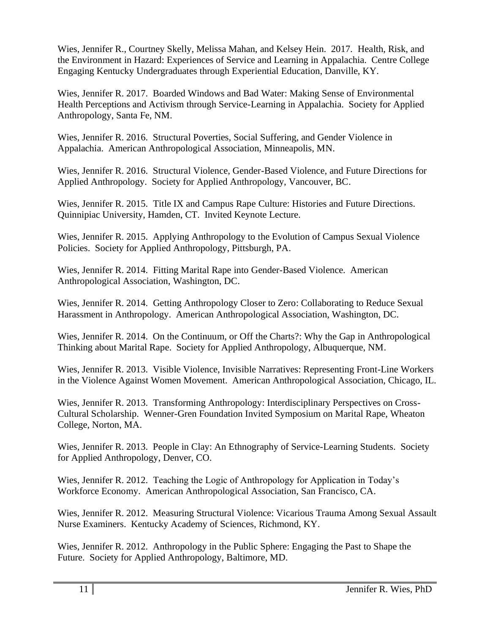Wies, Jennifer R., Courtney Skelly, Melissa Mahan, and Kelsey Hein. 2017. Health, Risk, and the Environment in Hazard: Experiences of Service and Learning in Appalachia. Centre College Engaging Kentucky Undergraduates through Experiential Education, Danville, KY.

Wies, Jennifer R. 2017. Boarded Windows and Bad Water: Making Sense of Environmental Health Perceptions and Activism through Service-Learning in Appalachia. Society for Applied Anthropology, Santa Fe, NM.

Wies, Jennifer R. 2016. Structural Poverties, Social Suffering, and Gender Violence in Appalachia. American Anthropological Association, Minneapolis, MN.

Wies, Jennifer R. 2016. Structural Violence, Gender-Based Violence, and Future Directions for Applied Anthropology. Society for Applied Anthropology, Vancouver, BC.

Wies, Jennifer R. 2015. Title IX and Campus Rape Culture: Histories and Future Directions. Quinnipiac University, Hamden, CT. Invited Keynote Lecture.

Wies, Jennifer R. 2015. Applying Anthropology to the Evolution of Campus Sexual Violence Policies. Society for Applied Anthropology, Pittsburgh, PA.

Wies, Jennifer R. 2014. Fitting Marital Rape into Gender-Based Violence. American Anthropological Association, Washington, DC.

Wies, Jennifer R. 2014. Getting Anthropology Closer to Zero: Collaborating to Reduce Sexual Harassment in Anthropology. American Anthropological Association, Washington, DC.

Wies, Jennifer R. 2014. On the Continuum, or Off the Charts?: Why the Gap in Anthropological Thinking about Marital Rape. Society for Applied Anthropology, Albuquerque, NM.

Wies, Jennifer R. 2013. Visible Violence, Invisible Narratives: Representing Front-Line Workers in the Violence Against Women Movement. American Anthropological Association, Chicago, IL.

Wies, Jennifer R. 2013. Transforming Anthropology: Interdisciplinary Perspectives on Cross-Cultural Scholarship. Wenner-Gren Foundation Invited Symposium on Marital Rape, Wheaton College, Norton, MA.

Wies, Jennifer R. 2013. People in Clay: An Ethnography of Service-Learning Students. Society for Applied Anthropology, Denver, CO.

Wies, Jennifer R. 2012. Teaching the Logic of Anthropology for Application in Today's Workforce Economy. American Anthropological Association, San Francisco, CA.

Wies, Jennifer R. 2012. Measuring Structural Violence: Vicarious Trauma Among Sexual Assault Nurse Examiners. Kentucky Academy of Sciences, Richmond, KY.

Wies, Jennifer R. 2012. Anthropology in the Public Sphere: Engaging the Past to Shape the Future. Society for Applied Anthropology, Baltimore, MD.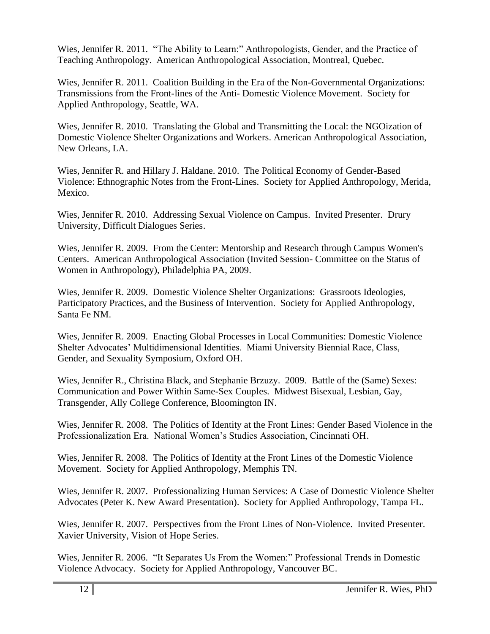Wies, Jennifer R. 2011. "The Ability to Learn:" Anthropologists, Gender, and the Practice of Teaching Anthropology. American Anthropological Association, Montreal, Quebec.

Wies, Jennifer R. 2011. Coalition Building in the Era of the Non-Governmental Organizations: Transmissions from the Front-lines of the Anti- Domestic Violence Movement. Society for Applied Anthropology, Seattle, WA.

Wies, Jennifer R. 2010. Translating the Global and Transmitting the Local: the NGOization of Domestic Violence Shelter Organizations and Workers. American Anthropological Association, New Orleans, LA.

Wies, Jennifer R. and Hillary J. Haldane. 2010. The Political Economy of Gender-Based Violence: Ethnographic Notes from the Front-Lines. Society for Applied Anthropology, Merida, Mexico.

Wies, Jennifer R. 2010. Addressing Sexual Violence on Campus. Invited Presenter. Drury University, Difficult Dialogues Series.

Wies, Jennifer R. 2009. From the Center: Mentorship and Research through Campus Women's Centers. American Anthropological Association (Invited Session- Committee on the Status of Women in Anthropology), Philadelphia PA, 2009.

Wies, Jennifer R. 2009. Domestic Violence Shelter Organizations: Grassroots Ideologies, Participatory Practices, and the Business of Intervention. Society for Applied Anthropology, Santa Fe NM.

Wies, Jennifer R. 2009. Enacting Global Processes in Local Communities: Domestic Violence Shelter Advocates' Multidimensional Identities. Miami University Biennial Race, Class, Gender, and Sexuality Symposium, Oxford OH.

Wies, Jennifer R., Christina Black, and Stephanie Brzuzy. 2009. Battle of the (Same) Sexes: Communication and Power Within Same-Sex Couples. Midwest Bisexual, Lesbian, Gay, Transgender, Ally College Conference, Bloomington IN.

Wies, Jennifer R. 2008. The Politics of Identity at the Front Lines: Gender Based Violence in the Professionalization Era. National Women's Studies Association, Cincinnati OH.

Wies, Jennifer R. 2008. The Politics of Identity at the Front Lines of the Domestic Violence Movement. Society for Applied Anthropology, Memphis TN.

Wies, Jennifer R. 2007. Professionalizing Human Services: A Case of Domestic Violence Shelter Advocates (Peter K. New Award Presentation). Society for Applied Anthropology, Tampa FL.

Wies, Jennifer R. 2007. Perspectives from the Front Lines of Non-Violence. Invited Presenter. Xavier University, Vision of Hope Series.

Wies, Jennifer R. 2006. "It Separates Us From the Women:" Professional Trends in Domestic Violence Advocacy. Society for Applied Anthropology, Vancouver BC.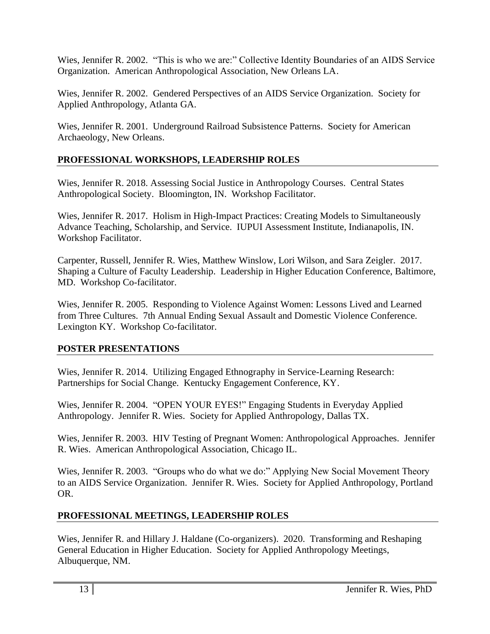Wies, Jennifer R. 2002. "This is who we are:" Collective Identity Boundaries of an AIDS Service Organization. American Anthropological Association, New Orleans LA.

Wies, Jennifer R. 2002. Gendered Perspectives of an AIDS Service Organization. Society for Applied Anthropology, Atlanta GA.

Wies, Jennifer R. 2001. Underground Railroad Subsistence Patterns. Society for American Archaeology, New Orleans.

## **PROFESSIONAL WORKSHOPS, LEADERSHIP ROLES**

Wies, Jennifer R. 2018. Assessing Social Justice in Anthropology Courses. Central States Anthropological Society. Bloomington, IN. Workshop Facilitator.

Wies, Jennifer R. 2017. Holism in High-Impact Practices: Creating Models to Simultaneously Advance Teaching, Scholarship, and Service. IUPUI Assessment Institute, Indianapolis, IN. Workshop Facilitator.

Carpenter, Russell, Jennifer R. Wies, Matthew Winslow, Lori Wilson, and Sara Zeigler. 2017. Shaping a Culture of Faculty Leadership. Leadership in Higher Education Conference, Baltimore, MD. Workshop Co-facilitator.

Wies, Jennifer R. 2005. Responding to Violence Against Women: Lessons Lived and Learned from Three Cultures. 7th Annual Ending Sexual Assault and Domestic Violence Conference. Lexington KY. Workshop Co-facilitator.

## **POSTER PRESENTATIONS**

Wies, Jennifer R. 2014. Utilizing Engaged Ethnography in Service-Learning Research: Partnerships for Social Change. Kentucky Engagement Conference, KY.

Wies, Jennifer R. 2004. "OPEN YOUR EYES!" Engaging Students in Everyday Applied Anthropology. Jennifer R. Wies. Society for Applied Anthropology, Dallas TX.

Wies, Jennifer R. 2003. HIV Testing of Pregnant Women: Anthropological Approaches. Jennifer R. Wies. American Anthropological Association, Chicago IL.

Wies, Jennifer R. 2003. "Groups who do what we do:" Applying New Social Movement Theory to an AIDS Service Organization. Jennifer R. Wies. Society for Applied Anthropology, Portland OR.

## **PROFESSIONAL MEETINGS, LEADERSHIP ROLES**

Wies, Jennifer R. and Hillary J. Haldane (Co-organizers). 2020. Transforming and Reshaping General Education in Higher Education. Society for Applied Anthropology Meetings, Albuquerque, NM.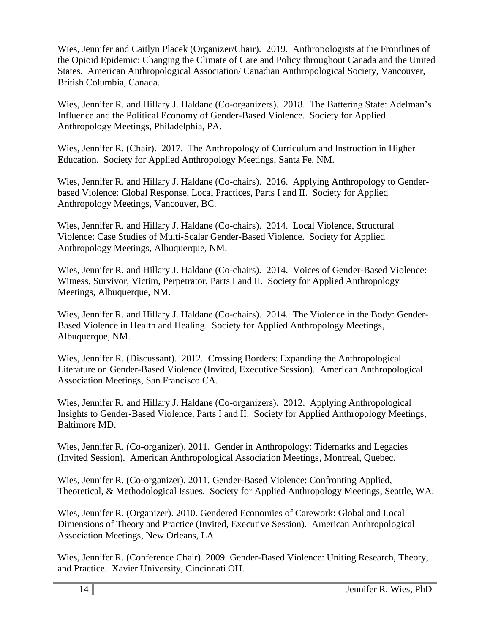Wies, Jennifer and Caitlyn Placek (Organizer/Chair). 2019. Anthropologists at the Frontlines of the Opioid Epidemic: Changing the Climate of Care and Policy throughout Canada and the United States. American Anthropological Association/ Canadian Anthropological Society, Vancouver, British Columbia, Canada.

Wies, Jennifer R. and Hillary J. Haldane (Co-organizers). 2018. The Battering State: Adelman's Influence and the Political Economy of Gender-Based Violence. Society for Applied Anthropology Meetings, Philadelphia, PA.

Wies, Jennifer R. (Chair). 2017. The Anthropology of Curriculum and Instruction in Higher Education. Society for Applied Anthropology Meetings, Santa Fe, NM.

Wies, Jennifer R. and Hillary J. Haldane (Co-chairs). 2016. Applying Anthropology to Genderbased Violence: Global Response, Local Practices, Parts I and II. Society for Applied Anthropology Meetings, Vancouver, BC.

Wies, Jennifer R. and Hillary J. Haldane (Co-chairs). 2014. Local Violence, Structural Violence: Case Studies of Multi-Scalar Gender-Based Violence. Society for Applied Anthropology Meetings, Albuquerque, NM.

Wies, Jennifer R. and Hillary J. Haldane (Co-chairs). 2014. Voices of Gender-Based Violence: Witness, Survivor, Victim, Perpetrator, Parts I and II. Society for Applied Anthropology Meetings, Albuquerque, NM.

Wies, Jennifer R. and Hillary J. Haldane (Co-chairs). 2014. The Violence in the Body: Gender-Based Violence in Health and Healing. Society for Applied Anthropology Meetings, Albuquerque, NM.

Wies, Jennifer R. (Discussant). 2012. Crossing Borders: Expanding the Anthropological Literature on Gender-Based Violence (Invited, Executive Session). American Anthropological Association Meetings, San Francisco CA.

Wies, Jennifer R. and Hillary J. Haldane (Co-organizers). 2012. Applying Anthropological Insights to Gender-Based Violence, Parts I and II. Society for Applied Anthropology Meetings, Baltimore MD.

Wies, Jennifer R. (Co-organizer). 2011. Gender in Anthropology: Tidemarks and Legacies (Invited Session). American Anthropological Association Meetings, Montreal, Quebec.

Wies, Jennifer R. (Co-organizer). 2011. Gender-Based Violence: Confronting Applied, Theoretical, & Methodological Issues. Society for Applied Anthropology Meetings, Seattle, WA.

Wies, Jennifer R. (Organizer). 2010. Gendered Economies of Carework: Global and Local Dimensions of Theory and Practice (Invited, Executive Session). American Anthropological Association Meetings, New Orleans, LA.

Wies, Jennifer R. (Conference Chair). 2009. Gender-Based Violence: Uniting Research, Theory, and Practice. Xavier University, Cincinnati OH.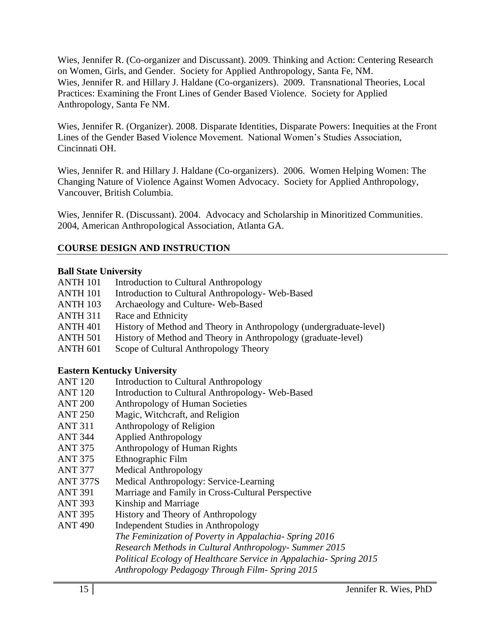Wies, Jennifer R. (Co-organizer and Discussant). 2009. Thinking and Action: Centering Research on Women, Girls, and Gender. Society for Applied Anthropology, Santa Fe, NM. Wies, Jennifer R. and Hillary J. Haldane (Co-organizers). 2009. Transnational Theories, Local Practices: Examining the Front Lines of Gender Based Violence. Society for Applied Anthropology, Santa Fe NM.

Wies, Jennifer R. (Organizer). 2008. Disparate Identities, Disparate Powers: Inequities at the Front Lines of the Gender Based Violence Movement. National Women's Studies Association, Cincinnati OH.

Wies, Jennifer R. and Hillary J. Haldane (Co-organizers). 2006. Women Helping Women: The Changing Nature of Violence Against Women Advocacy. Society for Applied Anthropology, Vancouver, British Columbia.

Wies, Jennifer R. (Discussant). 2004. Advocacy and Scholarship in Minoritized Communities. 2004, American Anthropological Association, Atlanta GA.

## **COURSE DESIGN AND INSTRUCTION**

## **Ball State University**

| <b>ANTH 101</b> |  | Introduction to Cultural Anthropology |
|-----------------|--|---------------------------------------|

- ANTH 101 Introduction to Cultural Anthropology- Web-Based
- ANTH 103 Archaeology and Culture- Web-Based
- ANTH 311 Race and Ethnicity
- ANTH 401 History of Method and Theory in Anthropology (undergraduate-level)
- ANTH 501 History of Method and Theory in Anthropology (graduate-level)
- ANTH 601 Scope of Cultural Anthropology Theory

## **Eastern Kentucky University**

- ANT 120 Introduction to Cultural Anthropology
- ANT 120 Introduction to Cultural Anthropology- Web-Based
- ANT 200 Anthropology of Human Societies
- ANT 250 Magic, Witchcraft, and Religion
- ANT 311 Anthropology of Religion
- ANT 344 Applied Anthropology
- ANT 375 Anthropology of Human Rights
- ANT 375 Ethnographic Film
- ANT 377 Medical Anthropology
- ANT 377S Medical Anthropology: Service-Learning
- ANT 391 Marriage and Family in Cross-Cultural Perspective
- ANT 393 Kinship and Marriage
- ANT 395 History and Theory of Anthropology
- ANT 490 Independent Studies in Anthropology

*The Feminization of Poverty in Appalachia- Spring 2016*

- *Research Methods in Cultural Anthropology- Summer 2015*
	- *Political Ecology of Healthcare Service in Appalachia- Spring 2015*
	- *Anthropology Pedagogy Through Film- Spring 2015*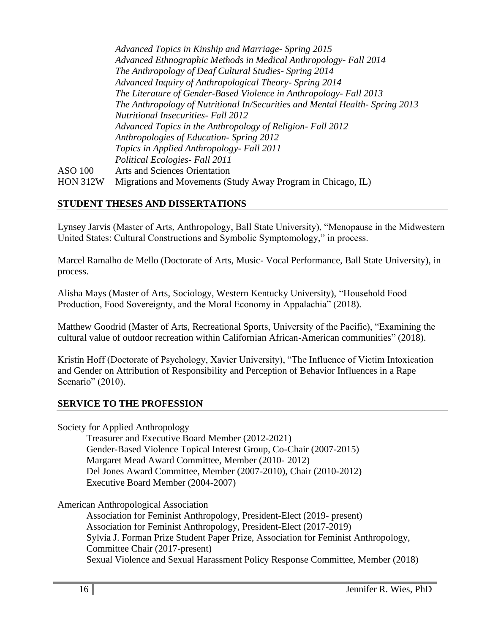|                 | Advanced Topics in Kinship and Marriage- Spring 2015                        |
|-----------------|-----------------------------------------------------------------------------|
|                 | Advanced Ethnographic Methods in Medical Anthropology- Fall 2014            |
|                 | The Anthropology of Deaf Cultural Studies - Spring 2014                     |
|                 | Advanced Inquiry of Anthropological Theory- Spring 2014                     |
|                 | The Literature of Gender-Based Violence in Anthropology- Fall 2013          |
|                 | The Anthropology of Nutritional In/Securities and Mental Health-Spring 2013 |
|                 | <b>Nutritional Insecurities- Fall 2012</b>                                  |
|                 | Advanced Topics in the Anthropology of Religion- Fall 2012                  |
|                 | Anthropologies of Education- Spring 2012                                    |
|                 | Topics in Applied Anthropology- Fall 2011                                   |
|                 | Political Ecologies - Fall 2011                                             |
| ASO 100         | <b>Arts and Sciences Orientation</b>                                        |
| <b>HON 312W</b> | Migrations and Movements (Study Away Program in Chicago, IL)                |
|                 |                                                                             |

### **STUDENT THESES AND DISSERTATIONS**

Lynsey Jarvis (Master of Arts, Anthropology, Ball State University), "Menopause in the Midwestern United States: Cultural Constructions and Symbolic Symptomology," in process.

Marcel Ramalho de Mello (Doctorate of Arts, Music- Vocal Performance, Ball State University), in process.

Alisha Mays (Master of Arts, Sociology, Western Kentucky University), "Household Food Production, Food Sovereignty, and the Moral Economy in Appalachia" (2018).

Matthew Goodrid (Master of Arts, Recreational Sports, University of the Pacific), "Examining the cultural value of outdoor recreation within Californian African-American communities" (2018).

Kristin Hoff (Doctorate of Psychology, Xavier University), "The Influence of Victim Intoxication and Gender on Attribution of Responsibility and Perception of Behavior Influences in a Rape Scenario" (2010).

### **SERVICE TO THE PROFESSION**

Society for Applied Anthropology

Treasurer and Executive Board Member (2012-2021) Gender-Based Violence Topical Interest Group, Co-Chair (2007-2015) Margaret Mead Award Committee, Member (2010- 2012) Del Jones Award Committee, Member (2007-2010), Chair (2010-2012) Executive Board Member (2004-2007)

American Anthropological Association

Association for Feminist Anthropology, President-Elect (2019- present) Association for Feminist Anthropology, President-Elect (2017-2019) Sylvia J. Forman Prize Student Paper Prize, Association for Feminist Anthropology, Committee Chair (2017-present) Sexual Violence and Sexual Harassment Policy Response Committee, Member (2018)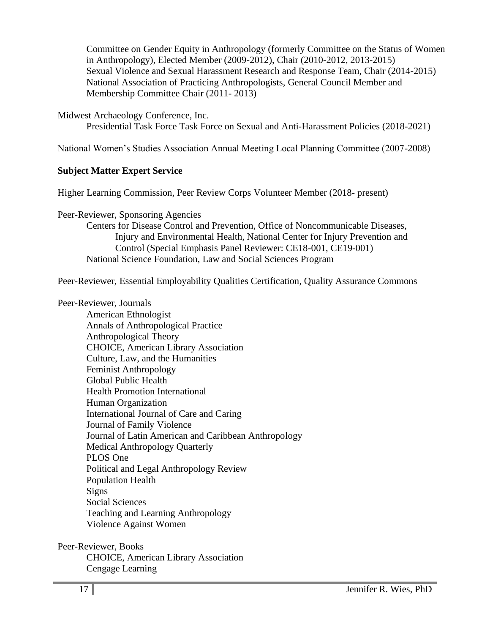Committee on Gender Equity in Anthropology (formerly Committee on the Status of Women in Anthropology), Elected Member (2009-2012), Chair (2010-2012, 2013-2015) Sexual Violence and Sexual Harassment Research and Response Team, Chair (2014-2015) National Association of Practicing Anthropologists, General Council Member and Membership Committee Chair (2011- 2013)

Midwest Archaeology Conference, Inc.

Presidential Task Force Task Force on Sexual and Anti-Harassment Policies (2018-2021)

National Women's Studies Association Annual Meeting Local Planning Committee (2007-2008)

### **Subject Matter Expert Service**

Higher Learning Commission, Peer Review Corps Volunteer Member (2018- present)

Peer-Reviewer, Sponsoring Agencies

Centers for Disease Control and Prevention, Office of Noncommunicable Diseases, Injury and Environmental Health, National Center for Injury Prevention and Control (Special Emphasis Panel Reviewer: CE18-001, CE19-001) National Science Foundation, Law and Social Sciences Program

Peer-Reviewer, Essential Employability Qualities Certification, Quality Assurance Commons

#### Peer-Reviewer, Journals

American Ethnologist Annals of Anthropological Practice Anthropological Theory CHOICE, American Library Association Culture, Law, and the Humanities Feminist Anthropology Global Public Health Health Promotion International Human Organization International Journal of Care and Caring Journal of Family Violence Journal of Latin American and Caribbean Anthropology Medical Anthropology Quarterly PLOS One Political and Legal Anthropology Review Population Health Signs Social Sciences Teaching and Learning Anthropology Violence Against Women

Peer-Reviewer, Books CHOICE, American Library Association Cengage Learning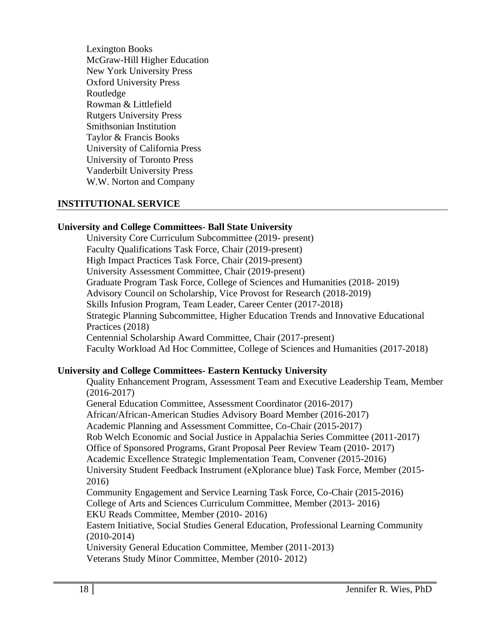Lexington Books McGraw-Hill Higher Education New York University Press Oxford University Press Routledge Rowman & Littlefield Rutgers University Press Smithsonian Institution Taylor & Francis Books University of California Press University of Toronto Press Vanderbilt University Press W.W. Norton and Company

#### **INSTITUTIONAL SERVICE**

#### **University and College Committees- Ball State University**

University Core Curriculum Subcommittee (2019- present) Faculty Qualifications Task Force, Chair (2019-present) High Impact Practices Task Force, Chair (2019-present) University Assessment Committee, Chair (2019-present) Graduate Program Task Force, College of Sciences and Humanities (2018- 2019) Advisory Council on Scholarship, Vice Provost for Research (2018-2019) Skills Infusion Program, Team Leader, Career Center (2017-2018) Strategic Planning Subcommittee, Higher Education Trends and Innovative Educational Practices (2018) Centennial Scholarship Award Committee, Chair (2017-present) Faculty Workload Ad Hoc Committee, College of Sciences and Humanities (2017-2018)

### **University and College Committees- Eastern Kentucky University**

Quality Enhancement Program, Assessment Team and Executive Leadership Team, Member (2016-2017) General Education Committee, Assessment Coordinator (2016-2017) African/African-American Studies Advisory Board Member (2016-2017) Academic Planning and Assessment Committee, Co-Chair (2015-2017) Rob Welch Economic and Social Justice in Appalachia Series Committee (2011-2017) Office of Sponsored Programs, Grant Proposal Peer Review Team (2010- 2017) Academic Excellence Strategic Implementation Team, Convener (2015-2016) University Student Feedback Instrument (eXplorance blue) Task Force, Member (2015- 2016) Community Engagement and Service Learning Task Force, Co-Chair (2015-2016) College of Arts and Sciences Curriculum Committee, Member (2013- 2016) EKU Reads Committee, Member (2010- 2016) Eastern Initiative, Social Studies General Education, Professional Learning Community (2010-2014) University General Education Committee, Member (2011-2013) Veterans Study Minor Committee, Member (2010- 2012)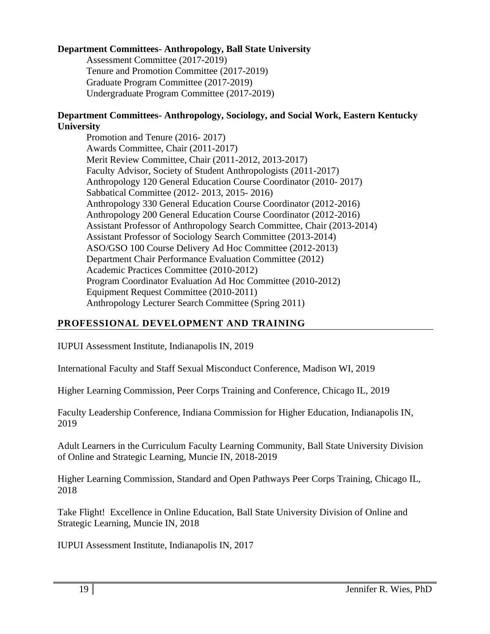## **Department Committees- Anthropology, Ball State University**

Assessment Committee (2017-2019) Tenure and Promotion Committee (2017-2019) Graduate Program Committee (2017-2019) Undergraduate Program Committee (2017-2019)

## **Department Committees- Anthropology, Sociology, and Social Work, Eastern Kentucky University**

Promotion and Tenure (2016- 2017) Awards Committee, Chair (2011-2017) Merit Review Committee, Chair (2011-2012, 2013-2017) Faculty Advisor, Society of Student Anthropologists (2011-2017) Anthropology 120 General Education Course Coordinator (2010- 2017) Sabbatical Committee (2012- 2013, 2015- 2016) Anthropology 330 General Education Course Coordinator (2012-2016) Anthropology 200 General Education Course Coordinator (2012-2016) Assistant Professor of Anthropology Search Committee, Chair (2013-2014) Assistant Professor of Sociology Search Committee (2013-2014) ASO/GSO 100 Course Delivery Ad Hoc Committee (2012-2013) Department Chair Performance Evaluation Committee (2012) Academic Practices Committee (2010-2012) Program Coordinator Evaluation Ad Hoc Committee (2010-2012) Equipment Request Committee (2010-2011) Anthropology Lecturer Search Committee (Spring 2011)

## **PROFESSIONAL DEVELOPMENT AND TRAINING**

IUPUI Assessment Institute, Indianapolis IN, 2019

International Faculty and Staff Sexual Misconduct Conference, Madison WI, 2019

Higher Learning Commission, Peer Corps Training and Conference, Chicago IL, 2019

Faculty Leadership Conference, Indiana Commission for Higher Education, Indianapolis IN, 2019

Adult Learners in the Curriculum Faculty Learning Community, Ball State University Division of Online and Strategic Learning, Muncie IN, 2018-2019

Higher Learning Commission, Standard and Open Pathways Peer Corps Training, Chicago IL, 2018

Take Flight! Excellence in Online Education, Ball State University Division of Online and Strategic Learning, Muncie IN, 2018

IUPUI Assessment Institute, Indianapolis IN, 2017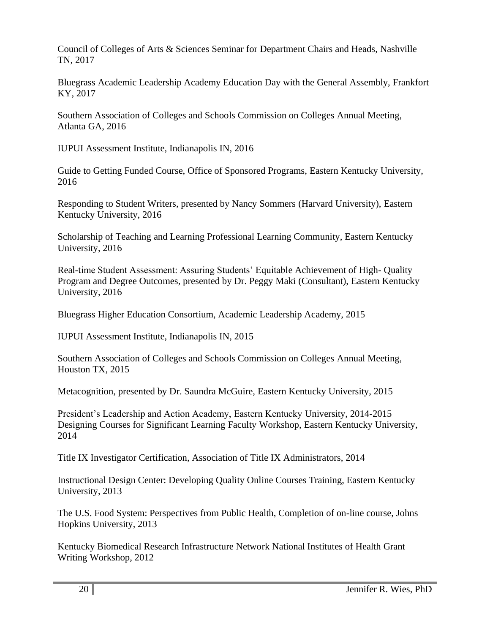Council of Colleges of Arts & Sciences Seminar for Department Chairs and Heads, Nashville TN, 2017

Bluegrass Academic Leadership Academy Education Day with the General Assembly, Frankfort KY, 2017

Southern Association of Colleges and Schools Commission on Colleges Annual Meeting, Atlanta GA, 2016

IUPUI Assessment Institute, Indianapolis IN, 2016

Guide to Getting Funded Course, Office of Sponsored Programs, Eastern Kentucky University, 2016

Responding to Student Writers, presented by Nancy Sommers (Harvard University), Eastern Kentucky University, 2016

Scholarship of Teaching and Learning Professional Learning Community, Eastern Kentucky University, 2016

Real-time Student Assessment: Assuring Students' Equitable Achievement of High- Quality Program and Degree Outcomes, presented by Dr. Peggy Maki (Consultant), Eastern Kentucky University, 2016

Bluegrass Higher Education Consortium, Academic Leadership Academy, 2015

IUPUI Assessment Institute, Indianapolis IN, 2015

Southern Association of Colleges and Schools Commission on Colleges Annual Meeting, Houston TX, 2015

Metacognition, presented by Dr. Saundra McGuire, Eastern Kentucky University, 2015

President's Leadership and Action Academy, Eastern Kentucky University, 2014-2015 Designing Courses for Significant Learning Faculty Workshop, Eastern Kentucky University, 2014

Title IX Investigator Certification, Association of Title IX Administrators, 2014

Instructional Design Center: Developing Quality Online Courses Training, Eastern Kentucky University, 2013

The U.S. Food System: Perspectives from Public Health, Completion of on-line course, Johns Hopkins University, 2013

Kentucky Biomedical Research Infrastructure Network National Institutes of Health Grant Writing Workshop, 2012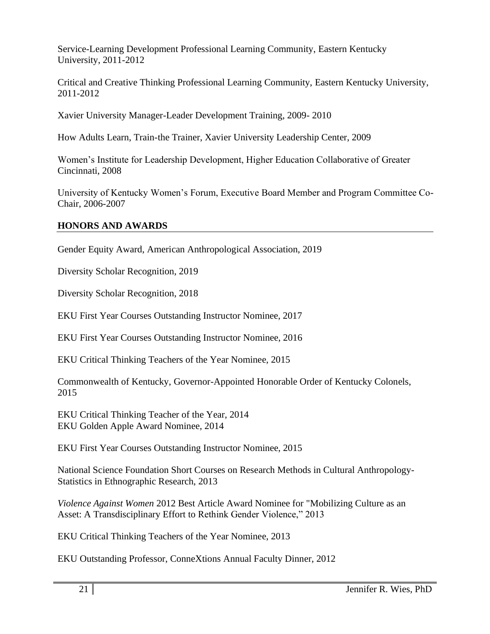Service-Learning Development Professional Learning Community, Eastern Kentucky University, 2011-2012

Critical and Creative Thinking Professional Learning Community, Eastern Kentucky University, 2011-2012

Xavier University Manager-Leader Development Training, 2009- 2010

How Adults Learn, Train-the Trainer, Xavier University Leadership Center, 2009

Women's Institute for Leadership Development, Higher Education Collaborative of Greater Cincinnati, 2008

University of Kentucky Women's Forum, Executive Board Member and Program Committee Co-Chair, 2006-2007

### **HONORS AND AWARDS**

Gender Equity Award, American Anthropological Association, 2019

Diversity Scholar Recognition, 2019

Diversity Scholar Recognition, 2018

EKU First Year Courses Outstanding Instructor Nominee, 2017

EKU First Year Courses Outstanding Instructor Nominee, 2016

EKU Critical Thinking Teachers of the Year Nominee, 2015

Commonwealth of Kentucky, Governor-Appointed Honorable Order of Kentucky Colonels, 2015

EKU Critical Thinking Teacher of the Year, 2014 EKU Golden Apple Award Nominee, 2014

EKU First Year Courses Outstanding Instructor Nominee, 2015

National Science Foundation Short Courses on Research Methods in Cultural Anthropology-Statistics in Ethnographic Research, 2013

*Violence Against Women* 2012 Best Article Award Nominee for "Mobilizing Culture as an Asset: A Transdisciplinary Effort to Rethink Gender Violence," 2013

EKU Critical Thinking Teachers of the Year Nominee, 2013

EKU Outstanding Professor, ConneXtions Annual Faculty Dinner, 2012